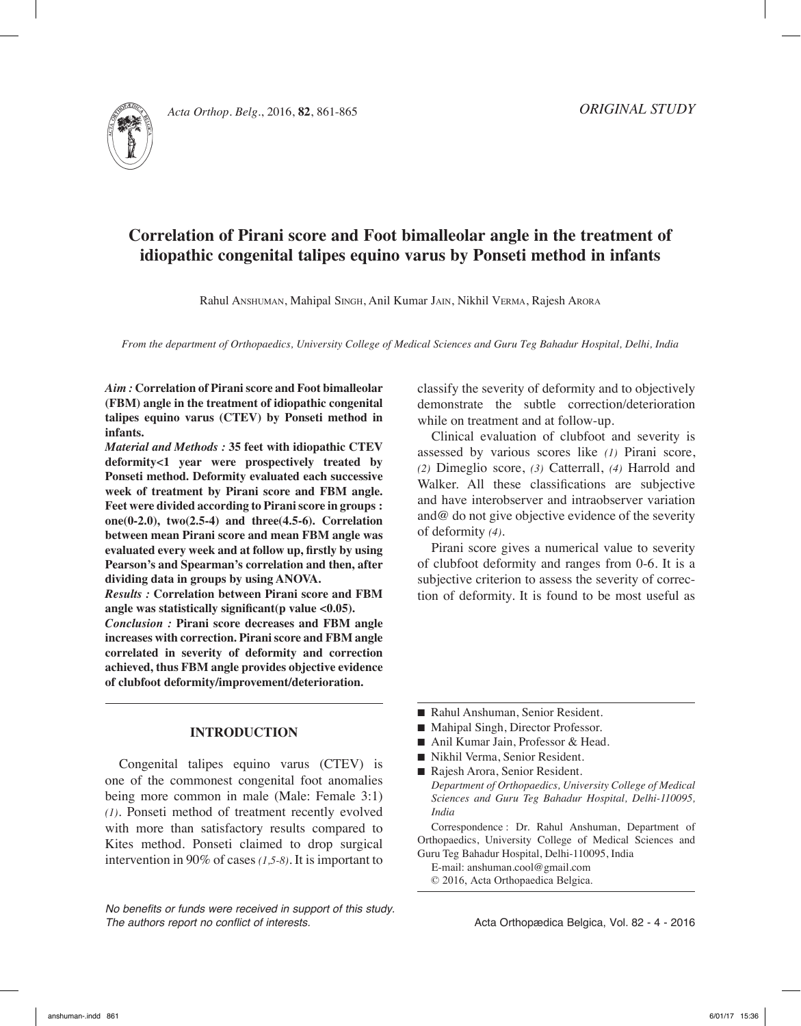

*Acta Orthop. Belg.*, 2016, **82**, 861-865

# **Correlation of Pirani score and Foot bimalleolar angle in the treatment of idiopathic congenital talipes equino varus by Ponseti method in infants**

Rahul Anshuman, Mahipal Singh, Anil Kumar Jain, Nikhil Verma, Rajesh Arora

*From the department of Orthopaedics, University College of Medical Sciences and Guru Teg Bahadur Hospital, Delhi, India*

*Aim :* **Correlation of Pirani score and Foot bimalleolar (FBM) angle in the treatment of idiopathic congenital talipes equino varus (CTEV) by Ponseti method in infants.**

*Material and Methods :* **35 feet with idiopathic CTEV deformity<1 year were prospectively treated by Ponseti method. Deformity evaluated each successive week of treatment by Pirani score and FBM angle. Feet were divided according to Pirani score in groups : one(0-2.0), two(2.5-4) and three(4.5-6). Correlation between mean Pirani score and mean FBM angle was evaluated every week and at follow up, firstly by using Pearson's and Spearman's correlation and then, after dividing data in groups by using ANOVA.**

*Results :* **Correlation between Pirani score and FBM angle was statistically significant(p value <0.05).**

*Conclusion :* **Pirani score decreases and FBM angle increases with correction. Pirani score and FBM angle correlated in severity of deformity and correction achieved, thus FBM angle provides objective evidence of clubfoot deformity/improvement/deterioration.**

# **INTRODUCTION**

Congenital talipes equino varus (CTEV) is one of the commonest congenital foot anomalies being more common in male (Male: Female 3:1) *(1)*. Ponseti method of treatment recently evolved with more than satisfactory results compared to Kites method. Ponseti claimed to drop surgical intervention in 90% of cases *(1,5-8)*. It is important to

*No benefits or funds were received in support of this study. The authors report no conflict of interests.* 

classify the severity of deformity and to objectively demonstrate the subtle correction/deterioration while on treatment and at follow-up.

Clinical evaluation of clubfoot and severity is assessed by various scores like *(1)* Pirani score, *(2)* Dimeglio score, *(3)* Catterrall, *(4)* Harrold and Walker. All these classifications are subjective and have interobserver and intraobserver variation and@ do not give objective evidence of the severity of deformity *(4)*.

Pirani score gives a numerical value to severity of clubfoot deformity and ranges from 0-6. It is a subjective criterion to assess the severity of correction of deformity. It is found to be most useful as

- Rahul Anshuman, Senior Resident.
- Mahipal Singh, Director Professor.
- Anil Kumar Jain, Professor & Head.
- Nikhil Verma, Senior Resident.
- Rajesh Arora, Senior Resident. *Department of Orthopaedics, University College of Medical Sciences and Guru Teg Bahadur Hospital, Delhi-110095, India*

Correspondence : Dr. Rahul Anshuman, Department of Orthopaedics, University College of Medical Sciences and Guru Teg Bahadur Hospital, Delhi-110095, India

E-mail: anshuman.cool@gmail.com © 2016, Acta Orthopaedica Belgica.

Acta Orthopædica Belgica, Vol. 82 - 4 - 2016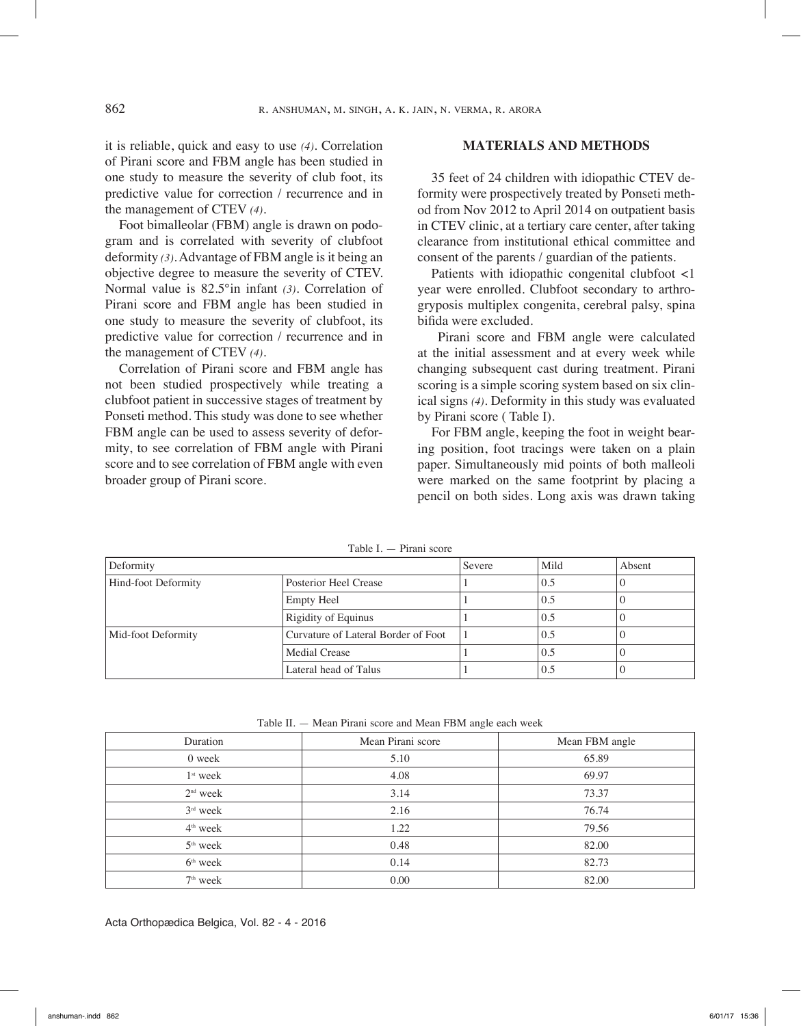it is reliable, quick and easy to use *(4)*. Correlation of Pirani score and FBM angle has been studied in one study to measure the severity of club foot, its predictive value for correction / recurrence and in the management of CTEV *(4)*.

Foot bimalleolar (FBM) angle is drawn on podogram and is correlated with severity of clubfoot deformity *(3)*. Advantage of FBM angle is it being an objective degree to measure the severity of CTEV. Normal value is 82.5°in infant *(3)*. Correlation of Pirani score and FBM angle has been studied in one study to measure the severity of clubfoot, its predictive value for correction / recurrence and in the management of CTEV *(4)*.

Correlation of Pirani score and FBM angle has not been studied prospectively while treating a clubfoot patient in successive stages of treatment by Ponseti method. This study was done to see whether FBM angle can be used to assess severity of deformity, to see correlation of FBM angle with Pirani score and to see correlation of FBM angle with even broader group of Pirani score.

## **MATERIALS AND METHODS**

35 feet of 24 children with idiopathic CTEV deformity were prospectively treated by Ponseti method from Nov 2012 to April 2014 on outpatient basis in CTEV clinic, at a tertiary care center, after taking clearance from institutional ethical committee and consent of the parents / guardian of the patients.

Patients with idiopathic congenital clubfoot <1 year were enrolled. Clubfoot secondary to arthrogryposis multiplex congenita, cerebral palsy, spina bifida were excluded.

 Pirani score and FBM angle were calculated at the initial assessment and at every week while changing subsequent cast during treatment. Pirani scoring is a simple scoring system based on six clinical signs *(4)*. Deformity in this study was evaluated by Pirani score ( Table I).

For FBM angle, keeping the foot in weight bearing position, foot tracings were taken on a plain paper. Simultaneously mid points of both malleoli were marked on the same footprint by placing a pencil on both sides. Long axis was drawn taking

| Deformity                                                 |                            | Severe | Mild | Absent |
|-----------------------------------------------------------|----------------------------|--------|------|--------|
| Hind-foot Deformity                                       | Posterior Heel Crease      |        | 0.5  |        |
|                                                           | <b>Empty Heel</b>          |        | 0.5  |        |
|                                                           | <b>Rigidity of Equinus</b> |        | 0.5  |        |
| Curvature of Lateral Border of Foot<br>Mid-foot Deformity |                            |        | 0.5  |        |
|                                                           | Medial Crease              |        | 0.5  |        |
|                                                           | Lateral head of Talus      |        | 0.5  |        |

Table I. — Pirani score

Table II. — Mean Pirani score and Mean FBM angle each week

| Duration   | Mean Pirani score | Mean FBM angle |  |
|------------|-------------------|----------------|--|
| 0 week     | 5.10              | 65.89          |  |
| $1st$ week | 4.08              | 69.97          |  |
| $2nd$ week | 3.14              | 73.37          |  |
| $3rd$ week | 2.16              | 76.74          |  |
| $4th$ week | 1.22              | 79.56          |  |
| $5th$ week | 0.48              | 82.00          |  |
| $6th$ week | 0.14              | 82.73          |  |
| $7th$ week | 0.00              | 82.00          |  |

Acta Orthopædica Belgica, Vol. 82 - 4 - 2016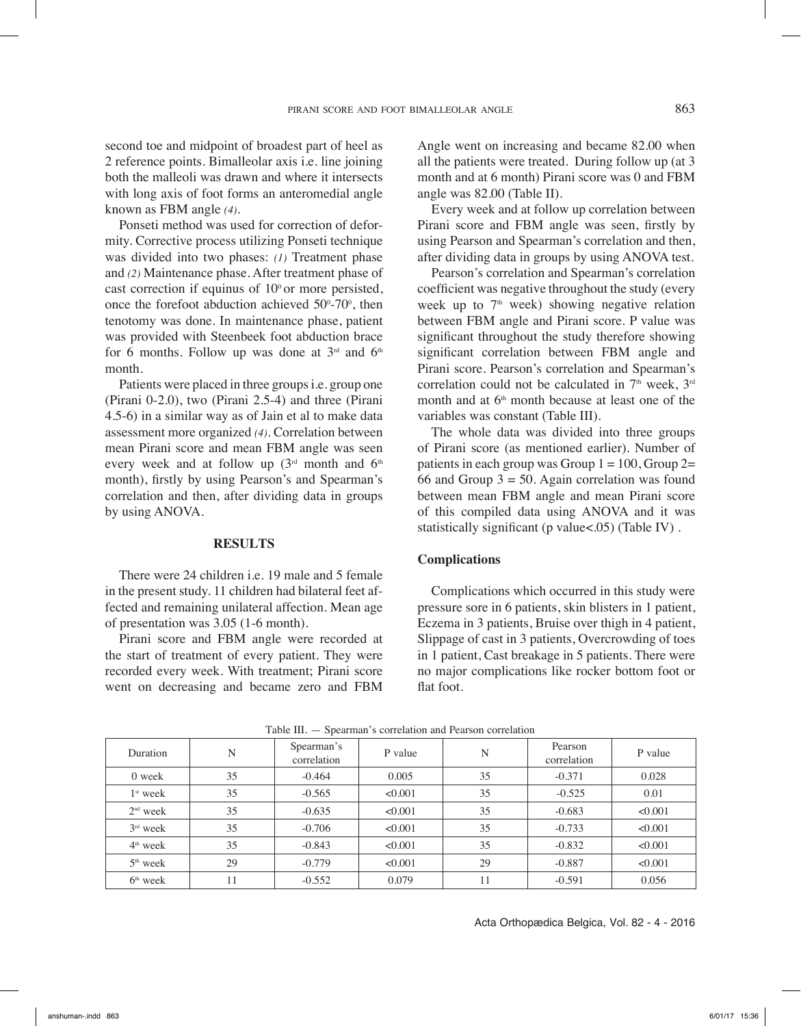second toe and midpoint of broadest part of heel as 2 reference points. Bimalleolar axis i.e. line joining both the malleoli was drawn and where it intersects with long axis of foot forms an anteromedial angle known as FBM angle *(4)*.

Ponseti method was used for correction of deformity. Corrective process utilizing Ponseti technique was divided into two phases: *(1)* Treatment phase and *(2)* Maintenance phase. After treatment phase of cast correction if equinus of  $10^{\circ}$  or more persisted, once the forefoot abduction achieved  $50^{\circ}$ -70 $^{\circ}$ , then tenotomy was done. In maintenance phase, patient was provided with Steenbeek foot abduction brace for 6 months. Follow up was done at  $3<sup>rd</sup>$  and  $6<sup>th</sup>$ month.

Patients were placed in three groups i.e. group one (Pirani 0-2.0), two (Pirani 2.5-4) and three (Pirani 4.5-6) in a similar way as of Jain et al to make data assessment more organized *(4)*. Correlation between mean Pirani score and mean FBM angle was seen every week and at follow up  $(3<sup>rd</sup>$  month and  $6<sup>th</sup>$ month), firstly by using Pearson's and Spearman's correlation and then, after dividing data in groups by using ANOVA.

## **RESULTS**

There were 24 children i.e. 19 male and 5 female in the present study. 11 children had bilateral feet affected and remaining unilateral affection. Mean age of presentation was 3.05 (1-6 month).

Pirani score and FBM angle were recorded at the start of treatment of every patient. They were recorded every week. With treatment; Pirani score went on decreasing and became zero and FBM

Angle went on increasing and became 82.00 when all the patients were treated. During follow up (at 3 month and at 6 month) Pirani score was 0 and FBM angle was 82.00 (Table II).

Every week and at follow up correlation between Pirani score and FBM angle was seen, firstly by using Pearson and Spearman's correlation and then, after dividing data in groups by using ANOVA test.

Pearson's correlation and Spearman's correlation coefficient was negative throughout the study (every week up to  $7<sup>th</sup>$  week) showing negative relation between FBM angle and Pirani score. P value was significant throughout the study therefore showing significant correlation between FBM angle and Pirani score. Pearson's correlation and Spearman's correlation could not be calculated in  $7<sup>th</sup>$  week,  $3<sup>rd</sup>$ month and at  $6<sup>th</sup>$  month because at least one of the variables was constant (Table III).

The whole data was divided into three groups of Pirani score (as mentioned earlier). Number of patients in each group was Group  $1 = 100$ , Group  $2=$ 66 and Group  $3 = 50$ . Again correlation was found between mean FBM angle and mean Pirani score of this compiled data using ANOVA and it was statistically significant (p value <. 05) (Table IV) .

# **Complications**

Complications which occurred in this study were pressure sore in 6 patients, skin blisters in 1 patient, Eczema in 3 patients, Bruise over thigh in 4 patient, Slippage of cast in 3 patients, Overcrowding of toes in 1 patient, Cast breakage in 5 patients. There were no major complications like rocker bottom foot or flat foot.

| Table III. — Spearman's correlation and Pearson correlation |    |                           |         |    |                        |         |
|-------------------------------------------------------------|----|---------------------------|---------|----|------------------------|---------|
| <b>Duration</b>                                             | N  | Spearman's<br>correlation | P value | N  | Pearson<br>correlation | P value |
| 0 week                                                      | 35 | $-0.464$                  | 0.005   | 35 | $-0.371$               | 0.028   |
| $1st$ week                                                  | 35 | $-0.565$                  | < 0.001 | 35 | $-0.525$               | 0.01    |
| $2nd$ week                                                  | 35 | $-0.635$                  | < 0.001 | 35 | $-0.683$               | <0.001  |
| $3rd$ week                                                  | 35 | $-0.706$                  | < 0.001 | 35 | $-0.733$               | < 0.001 |
| $4th$ week                                                  | 35 | $-0.843$                  | < 0.001 | 35 | $-0.832$               | < 0.001 |
| $5th$ week                                                  | 29 | $-0.779$                  | < 0.001 | 29 | $-0.887$               | < 0.001 |
| $6th$ week                                                  |    | $-0.552$                  | 0.079   |    | $-0.591$               | 0.056   |

Acta Orthopædica Belgica, Vol. 82 - 4 - 2016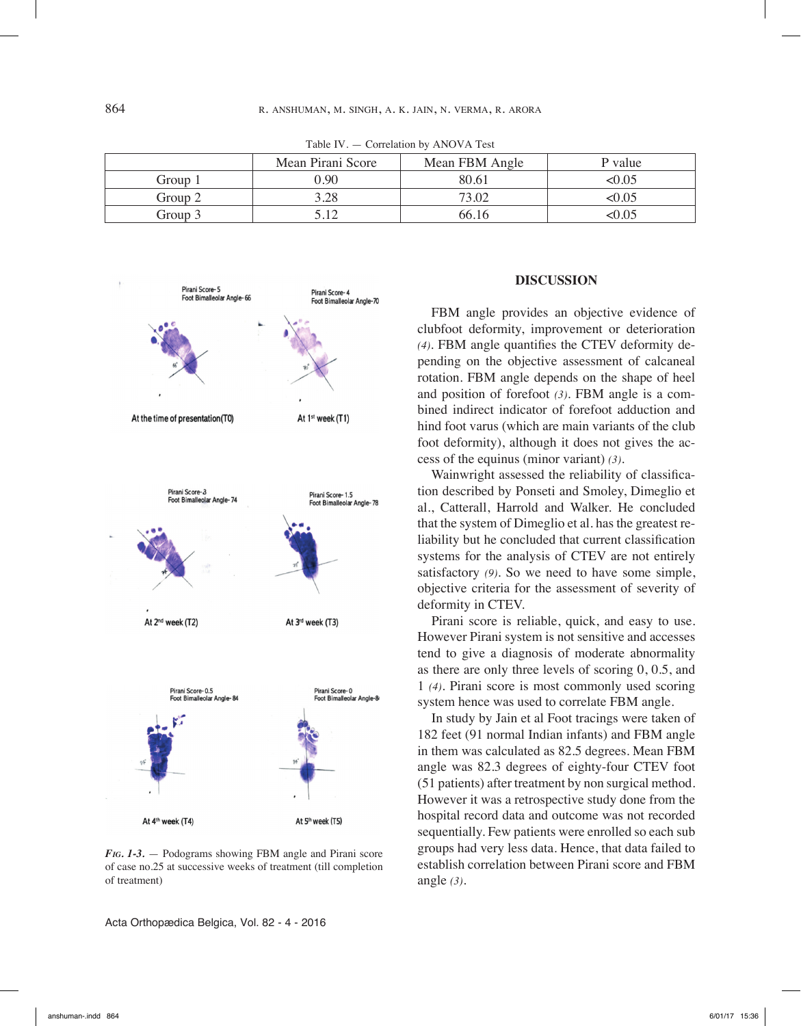|         | Mean Pirani Score | Mean FBM Angle | P value |
|---------|-------------------|----------------|---------|
| Group 1 | 90. (             | 80.61          | :0.05   |
| Group 2 | 3.28              | 73.02          | $-0.05$ |
| Group 3 |                   | 66.16          |         |

Table IV. — Correlation by ANOVA Test



*Fig. 1-3.* — Podograms showing FBM angle and Pirani score of case no.25 at successive weeks of treatment (till completion of treatment)

Acta Orthopædica Belgica, Vol. 82 - 4 - 2016

### **DISCUSSION**

FBM angle provides an objective evidence of clubfoot deformity, improvement or deterioration *(4)*. FBM angle quantifies the CTEV deformity depending on the objective assessment of calcaneal rotation. FBM angle depends on the shape of heel and position of forefoot *(3)*. FBM angle is a combined indirect indicator of forefoot adduction and hind foot varus (which are main variants of the club foot deformity), although it does not gives the access of the equinus (minor variant) *(3)*.

Wainwright assessed the reliability of classification described by Ponseti and Smoley, Dimeglio et al., Catterall, Harrold and Walker. He concluded that the system of Dimeglio et al. has the greatest reliability but he concluded that current classification systems for the analysis of CTEV are not entirely satisfactory *(9)*. So we need to have some simple, objective criteria for the assessment of severity of deformity in CTEV.

Pirani score is reliable, quick, and easy to use. However Pirani system is not sensitive and accesses tend to give a diagnosis of moderate abnormality as there are only three levels of scoring 0, 0.5, and 1 *(4)*. Pirani score is most commonly used scoring system hence was used to correlate FBM angle.

In study by Jain et al Foot tracings were taken of 182 feet (91 normal Indian infants) and FBM angle in them was calculated as 82.5 degrees. Mean FBM angle was 82.3 degrees of eighty-four CTEV foot (51 patients) after treatment by non surgical method. However it was a retrospective study done from the hospital record data and outcome was not recorded sequentially. Few patients were enrolled so each sub groups had very less data. Hence, that data failed to establish correlation between Pirani score and FBM angle *(3)*.